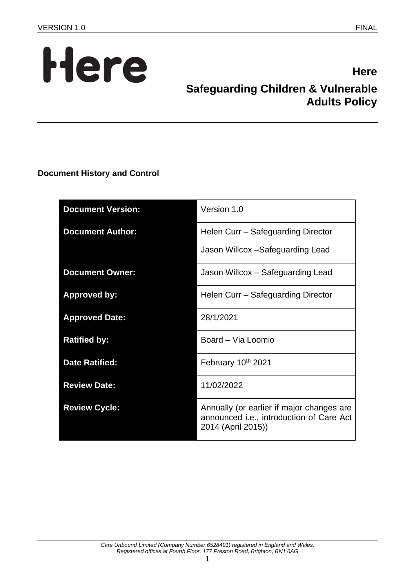

# **Here Safeguarding Children & Vulnerable Adults Policy**

**Document History and Control**

| <b>Document Version:</b> | Version 1.0                                                                                                 |
|--------------------------|-------------------------------------------------------------------------------------------------------------|
| <b>Document Author:</b>  | Helen Curr - Safeguarding Director                                                                          |
|                          | Jason Willcox -Safeguarding Lead                                                                            |
| <b>Document Owner:</b>   | Jason Willcox - Safeguarding Lead                                                                           |
| <b>Approved by:</b>      | Helen Curr - Safeguarding Director                                                                          |
| <b>Approved Date:</b>    | 28/1/2021                                                                                                   |
| <b>Ratified by:</b>      | Board - Via Loomio                                                                                          |
| <b>Date Ratified:</b>    | February 10th 2021                                                                                          |
| <b>Review Date:</b>      | 11/02/2022                                                                                                  |
| <b>Review Cycle:</b>     | Annually (or earlier if major changes are<br>announced i.e., introduction of Care Act<br>2014 (April 2015)) |

1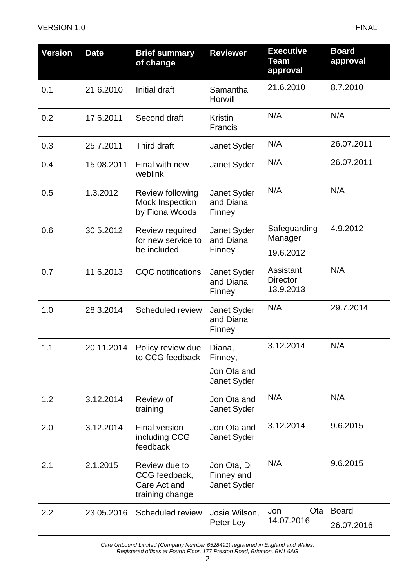| <b>Version</b> | <b>Date</b> | <b>Brief summary</b><br>of change                                 | <b>Reviewer</b>                                 | <b>Executive</b><br>Team<br>approval      | <b>Board</b><br>approval   |
|----------------|-------------|-------------------------------------------------------------------|-------------------------------------------------|-------------------------------------------|----------------------------|
| 0.1            | 21.6.2010   | Initial draft                                                     | Samantha<br>Horwill                             | 21.6.2010                                 | 8.7.2010                   |
| 0.2            | 17.6.2011   | Second draft                                                      | <b>Kristin</b><br><b>Francis</b>                | N/A                                       | N/A                        |
| 0.3            | 25.7.2011   | Third draft                                                       | Janet Syder                                     | N/A                                       | 26.07.2011                 |
| 0.4            | 15.08.2011  | Final with new<br>weblink                                         | Janet Syder                                     | N/A                                       | 26.07.2011                 |
| 0.5            | 1.3.2012    | Review following<br>Mock Inspection<br>by Fiona Woods             | Janet Syder<br>and Diana<br>Finney              | N/A                                       | N/A                        |
| 0.6            | 30.5.2012   | Review required<br>for new service to<br>be included              | Janet Syder<br>and Diana<br>Finney              | Safeguarding<br>Manager<br>19.6.2012      | 4.9.2012                   |
| 0.7            | 11.6.2013   | <b>CQC</b> notifications                                          | Janet Syder<br>and Diana<br>Finney              | Assistant<br><b>Director</b><br>13.9.2013 | N/A                        |
| 1.0            | 28.3.2014   | Scheduled review                                                  | Janet Syder<br>and Diana<br>Finney              | N/A                                       | 29.7.2014                  |
| 1.1            | 20.11.2014  | Policy review due<br>to CCG feedback                              | Diana,<br>Finney,<br>Jon Ota and<br>Janet Syder | 3.12.2014                                 | N/A                        |
| 1.2            | 3.12.2014   | Review of<br>training                                             | Jon Ota and<br>Janet Syder                      | N/A                                       | N/A                        |
| 2.0            | 3.12.2014   | Final version<br>including CCG<br>feedback                        | Jon Ota and<br>Janet Syder                      | 3.12.2014                                 | 9.6.2015                   |
| 2.1            | 2.1.2015    | Review due to<br>CCG feedback,<br>Care Act and<br>training change | Jon Ota, Di<br>Finney and<br>Janet Syder        | N/A                                       | 9.6.2015                   |
| 2.2            | 23.05.2016  | Scheduled review                                                  | Josie Wilson,<br>Peter Ley                      | Jon<br>Ota<br>14.07.2016                  | <b>Board</b><br>26.07.2016 |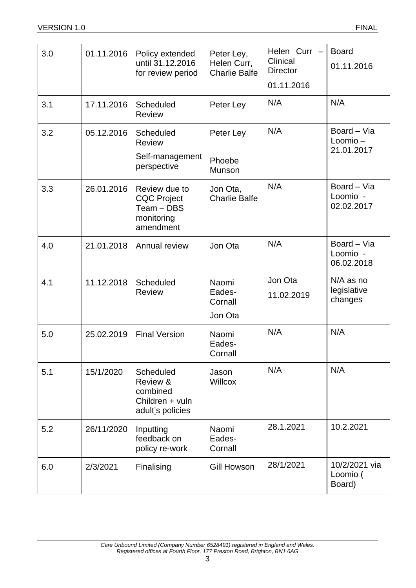| 3.0 | 01.11.2016 | Policy extended<br>until 31.12.2016<br>for review period                     | Peter Ley,<br>Helen Curr,<br><b>Charlie Balfe</b> | Helen Curr -<br>Clinical<br><b>Director</b><br>01.11.2016 | <b>Board</b><br>01.11.2016            |
|-----|------------|------------------------------------------------------------------------------|---------------------------------------------------|-----------------------------------------------------------|---------------------------------------|
| 3.1 | 17.11.2016 | Scheduled<br><b>Review</b>                                                   | Peter Ley                                         | N/A                                                       | N/A                                   |
| 3.2 | 05.12.2016 | <b>Scheduled</b><br><b>Review</b><br>Self-management<br>perspective          | Peter Ley<br>Phoebe<br>Munson                     | N/A                                                       | Board - Via<br>Loomio-<br>21.01.2017  |
| 3.3 | 26.01.2016 | Review due to<br><b>CQC Project</b><br>Team - DBS<br>monitoring<br>amendment | Jon Ota,<br><b>Charlie Balfe</b>                  | N/A                                                       | Board - Via<br>Loomio -<br>02.02.2017 |
| 4.0 | 21.01.2018 | Annual review                                                                | Jon Ota                                           | N/A                                                       | Board - Via<br>Loomio -<br>06.02.2018 |
| 4.1 | 11.12.2018 | Scheduled<br><b>Review</b>                                                   | Naomi<br>Eades-<br>Cornall<br>Jon Ota             | Jon Ota<br>11.02.2019                                     | N/A as no<br>legislative<br>changes   |
| 5.0 | 25.02.2019 | <b>Final Version</b>                                                         | Naomi<br>Eades-<br>Cornall                        | N/A                                                       | N/A                                   |
| 5.1 | 15/1/2020  | Scheduled<br>Review &<br>combined<br>Children + vuln<br>adult's policies     | Jason<br><b>Willcox</b>                           | N/A                                                       | N/A                                   |
| 5.2 | 26/11/2020 | Inputting<br>feedback on<br>policy re-work                                   | Naomi<br>Eades-<br>Cornall                        | 28.1.2021                                                 | 10.2.2021                             |
| 6.0 | 2/3/2021   | Finalising                                                                   | <b>Gill Howson</b>                                | 28/1/2021                                                 | 10/2/2021 via<br>Loomio (<br>Board)   |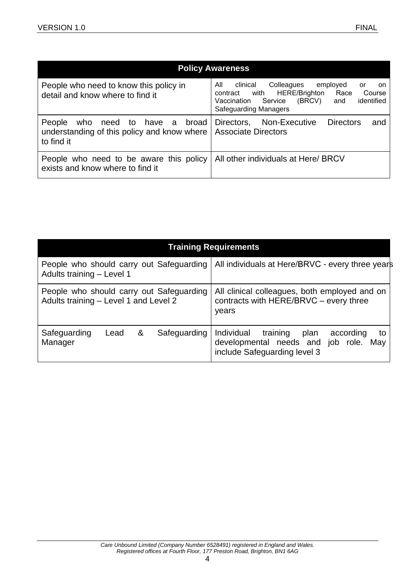| <b>Policy Awareness</b>                                                                         |                                                                                                                                                                                                     |  |  |  |  |
|-------------------------------------------------------------------------------------------------|-----------------------------------------------------------------------------------------------------------------------------------------------------------------------------------------------------|--|--|--|--|
| People who need to know this policy in<br>detail and know where to find it                      | clinical<br>All<br>Colleagues<br>employed<br>or<br>.on<br>with HERE/Brighton<br>Race<br>Course<br>contract<br>identified<br>Service<br>(BRCV)<br>Vaccination<br>and<br><b>Safeguarding Managers</b> |  |  |  |  |
| who need to have a broad<br>People<br>understanding of this policy and know where<br>to find it | Directors, Non-Executive<br><b>Directors</b><br>and<br><b>Associate Directors</b>                                                                                                                   |  |  |  |  |
| People who need to be aware this policy<br>exists and know where to find it                     | All other individuals at Here/ BRCV                                                                                                                                                                 |  |  |  |  |

| <b>Training Requirements</b>                                                      |      |   |                                                                                                  |                                                                                                                               |
|-----------------------------------------------------------------------------------|------|---|--------------------------------------------------------------------------------------------------|-------------------------------------------------------------------------------------------------------------------------------|
| People who should carry out Safeguarding<br>Adults training - Level 1             |      |   |                                                                                                  | All individuals at Here/BRVC - every three years                                                                              |
| People who should carry out Safeguarding<br>Adults training - Level 1 and Level 2 |      |   | All clinical colleagues, both employed and on<br>contracts with HERE/BRVC - every three<br>years |                                                                                                                               |
| Safeguarding<br>Manager                                                           | Lead | & | Safeguarding                                                                                     | training<br>Individual<br>according<br>plan<br>to<br>developmental needs and job role.<br>May<br>include Safeguarding level 3 |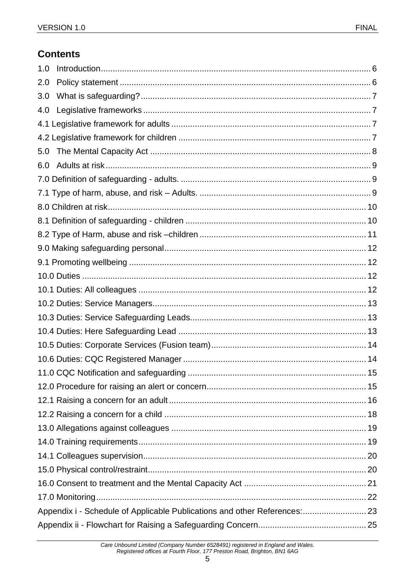# **Contents**

| 1.0                                                                        |  |
|----------------------------------------------------------------------------|--|
| 2.0                                                                        |  |
| 3.0                                                                        |  |
| 4.0                                                                        |  |
|                                                                            |  |
|                                                                            |  |
| 5.0                                                                        |  |
| 6.0                                                                        |  |
|                                                                            |  |
|                                                                            |  |
|                                                                            |  |
|                                                                            |  |
|                                                                            |  |
|                                                                            |  |
|                                                                            |  |
|                                                                            |  |
|                                                                            |  |
|                                                                            |  |
|                                                                            |  |
|                                                                            |  |
|                                                                            |  |
|                                                                            |  |
|                                                                            |  |
|                                                                            |  |
|                                                                            |  |
|                                                                            |  |
|                                                                            |  |
|                                                                            |  |
|                                                                            |  |
|                                                                            |  |
|                                                                            |  |
|                                                                            |  |
| Appendix i - Schedule of Applicable Publications and other References:  23 |  |
|                                                                            |  |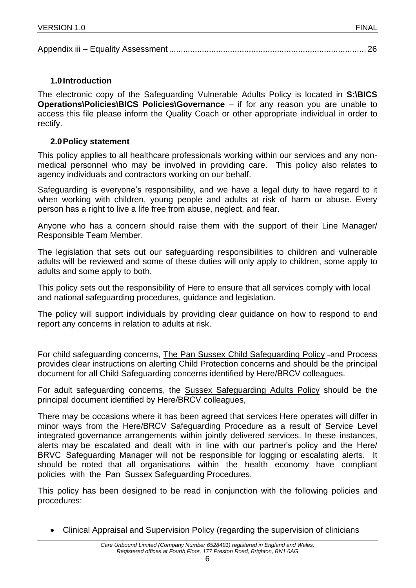## <span id="page-5-0"></span>**1.0 Introduction**

The electronic copy of the Safeguarding Vulnerable Adults Policy is located in **S:\BICS Operations\Policies\BICS Policies\Governance** – if for any reason you are unable to access this file please inform the Quality Coach or other appropriate individual in order to rectify.

## <span id="page-5-1"></span>**2.0 Policy statement**

This policy applies to all healthcare professionals working within our services and any nonmedical personnel who may be involved in providing care. This policy also relates to agency individuals and contractors working on our behalf.

Safeguarding is everyone's responsibility, and we have a legal duty to have regard to it when working with children, young people and adults at risk of harm or abuse. Every person has a right to live a life free from abuse, neglect, and fear.

Anyone who has a concern should raise them with the support of their Line Manager/ Responsible Team Member.

The legislation that sets out our safeguarding responsibilities to children and vulnerable adults will be reviewed and some of these duties will only apply to children, some apply to adults and some apply to both.

This policy sets out the responsibility of Here to ensure that all services comply with local and national safeguarding procedures, guidance and legislation.

The policy will support individuals by providing clear guidance on how to respond to and report any concerns in relation to adults at risk.

For child safeguarding concerns, [The Pan Sussex Child Safeguarding Policy](https://sussexchildprotection.procedures.org.uk/) - and Process provides clear instructions on alerting Child Protection concerns and should be the principal document for all Child Safeguarding concerns identified by Here/BRCV colleagues.

For adult safeguarding concerns, the [Sussex Safeguarding Adults Policy](https://sussexsafeguardingadults.procedures.org.uk/) should be the principal document identified by Here/BRCV colleagues,

There may be occasions where it has been agreed that services Here operates will differ in minor ways from the Here/BRCV Safeguarding Procedure as a result of Service Level integrated governance arrangements within jointly delivered services. In these instances, alerts may be escalated and dealt with in line with our partner's policy and the Here/ BRVC Safeguarding Manager will not be responsible for logging or escalating alerts. It should be noted that all organisations within the health economy have compliant policies with the Pan Sussex Safeguarding Procedures.

This policy has been designed to be read in conjunction with the following policies and procedures:

• Clinical Appraisal and Supervision Policy (regarding the supervision of clinicians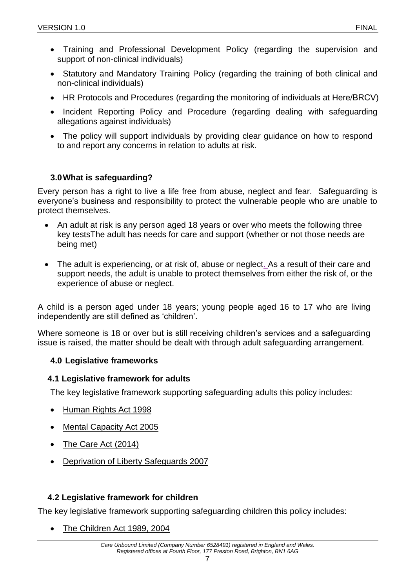- Training and Professional Development Policy (regarding the supervision and support of non-clinical individuals)
- Statutory and Mandatory Training Policy (regarding the training of both clinical and non-clinical individuals)
- HR Protocols and Procedures (regarding the monitoring of individuals at Here/BRCV)
- Incident Reporting Policy and Procedure (regarding dealing with safeguarding allegations against individuals)
- The policy will support individuals by providing clear guidance on how to respond to and report any concerns in relation to adults at risk.

## <span id="page-6-0"></span>**3.0What is safeguarding?**

Every person has a right to live a life free from abuse, neglect and fear. Safeguarding is everyone's business and responsibility to protect the vulnerable people who are unable to protect themselves.

- An adult at risk is any person aged 18 years or over who meets the following three key testsThe adult has needs for care and support (whether or not those needs are being met)
- The adult is experiencing, or at risk of, abuse or neglect. As a result of their care and support needs, the adult is unable to protect themselves from either the risk of, or the experience of abuse or neglect.

A child is a person aged under 18 years; young people aged 16 to 17 who are living independently are still defined as 'children'.

Where someone is 18 or over but is still receiving children's services and a safeguarding issue is raised, the matter should be dealt with through adult safeguarding arrangement.

## <span id="page-6-1"></span>**4.0 Legislative frameworks**

## <span id="page-6-2"></span>**4.1 Legislative framework for adults**

The key legislative framework supporting safeguarding adults this policy includes:

- [Human Rights Act 1998](https://www.legislation.gov.uk/ukpga/1998/42/contents)
- [Mental Capacity Act 2005](https://www.legislation.gov.uk/ukpga/2005/9/contents)
- [The Care Act](https://www.legislation.gov.uk/ukpga/2014/23/contents/enacted) (2014)
- [Deprivation of Liberty Safeguards 2007](https://www.gov.uk/government/publications/deprivation-of-liberty-safeguards-forms-and-guidance)

# <span id="page-6-3"></span>**4.2 Legislative framework for children**

The key legislative framework supporting safeguarding children this policy includes:

• [The Children Act 1989,](https://www.legislation.gov.uk/ukpga/1989/41/contents) [2004](https://www.legislation.gov.uk/ukpga/2004/31/contents)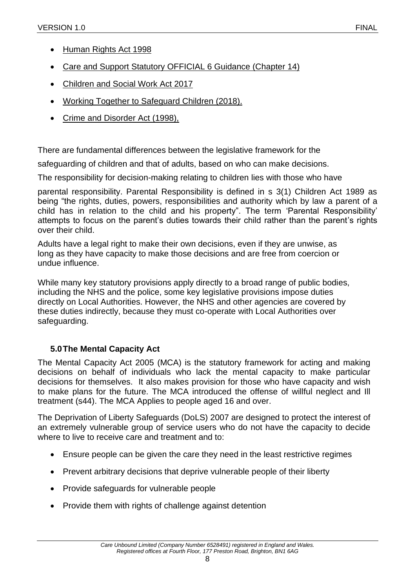- [Human Rights Act 1998](https://www.legislation.gov.uk/ukpga/1998/42/contents)
- [Care and Support Statutory OFFICIAL 6 Guidance \(Chapter 14\)](https://www.gov.uk/government/publications/care-act-statutory-guidance/care-and-support-statutory-guidance)
- [Children and Social Work Act 2017](https://www.legislation.gov.uk/ukpga/2017/16/contents/enacted)
- [Working Together to Safeguard Children \(2018\).](https://assets.publishing.service.gov.uk/government/uploads/system/uploads/attachment_data/file/779401/Working_Together_to_Safeguard-Children.pdf)
- [Crime and Disorder Act \(1998\),](https://www.legislation.gov.uk/ukpga/1998/37/contents)

There are fundamental differences between the legislative framework for the

safeguarding of children and that of adults, based on who can make decisions.

The responsibility for decision-making relating to children lies with those who have

parental responsibility. Parental Responsibility is defined in s 3(1) Children Act 1989 as being "the rights, duties, powers, responsibilities and authority which by law a parent of a child has in relation to the child and his property". The term 'Parental Responsibility' attempts to focus on the parent's duties towards their child rather than the parent's rights over their child.

Adults have a legal right to make their own decisions, even if they are unwise, as long as they have capacity to make those decisions and are free from coercion or undue influence.

While many key statutory provisions apply directly to a broad range of public bodies, including the NHS and the police, some key legislative provisions impose duties directly on Local Authorities. However, the NHS and other agencies are covered by these duties indirectly, because they must co-operate with Local Authorities over safeguarding.

## <span id="page-7-0"></span>**5.0The Mental Capacity Act**

The Mental Capacity Act 2005 (MCA) is the statutory framework for acting and making decisions on behalf of individuals who lack the mental capacity to make particular decisions for themselves. It also makes provision for those who have capacity and wish to make plans for the future. The MCA introduced the offense of willful neglect and Ill treatment (s44). The MCA Applies to people aged 16 and over.

The Deprivation of Liberty Safeguards (DoLS) 2007 are designed to protect the interest of an extremely vulnerable group of service users who do not have the capacity to decide where to live to receive care and treatment and to:

- Ensure people can be given the care they need in the least restrictive regimes
- Prevent arbitrary decisions that deprive vulnerable people of their liberty
- Provide safeguards for vulnerable people
- Provide them with rights of challenge against detention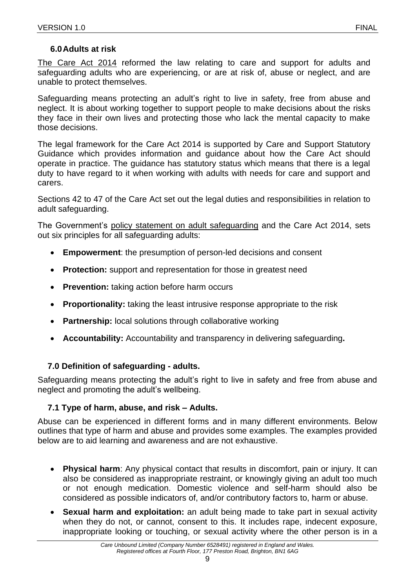#### **6.0Adults at risk**

<span id="page-8-0"></span>[The Care Act 2014](https://www.legislation.gov.uk/ukpga/2014/23/contents/enacted) reformed the law relating to care and support for adults and safeguarding adults who are experiencing, or are at risk of, abuse or neglect, and are unable to protect themselves.

Safeguarding means protecting an adult's right to live in safety, free from abuse and neglect. It is about working together to support people to make decisions about the risks they face in their own lives and protecting those who lack the mental capacity to make those decisions.

The legal framework for the Care Act 2014 is supported by Care and Support Statutory Guidance which provides information and guidance about how the Care Act should operate in practice. The guidance has statutory status which means that there is a legal duty to have regard to it when working with adults with needs for care and support and carers.

Sections 42 to 47 of the Care Act set out the legal duties and responsibilities in relation to adult safeguarding.

The Government's [policy statement on adult safeguarding](https://assets.publishing.service.gov.uk/government/uploads/system/uploads/attachment_data/file/197402/Statement_of_Gov_Policy.pdf) and the Care Act 2014, sets out six principles for all safeguarding adults:

- **Empowerment:** the presumption of person-led decisions and consent
- **Protection:** support and representation for those in greatest need
- **Prevention:** taking action before harm occurs
- **Proportionality:** taking the least intrusive response appropriate to the risk
- **Partnership:** local solutions through collaborative working
- **Accountability:** Accountability and transparency in delivering safeguarding**.**

#### <span id="page-8-1"></span>**7.0 Definition of safeguarding - adults.**

Safeguarding means protecting the adult's right to live in safety and free from abuse and neglect and promoting the adult's wellbeing.

## <span id="page-8-2"></span>**7.1 Type of harm, abuse, and risk – Adults.**

Abuse can be experienced in different forms and in many different environments. Below outlines that type of harm and abuse and provides some examples. The examples provided below are to aid learning and awareness and are not exhaustive.

- **Physical harm**: Any physical contact that results in discomfort, pain or injury. It can also be considered as inappropriate restraint, or knowingly giving an adult too much or not enough medication. Domestic violence and self-harm should also be considered as possible indicators of, and/or contributory factors to, harm or abuse.
- **Sexual harm and exploitation:** an adult being made to take part in sexual activity when they do not, or cannot, consent to this. It includes rape, indecent exposure, inappropriate looking or touching, or sexual activity where the other person is in a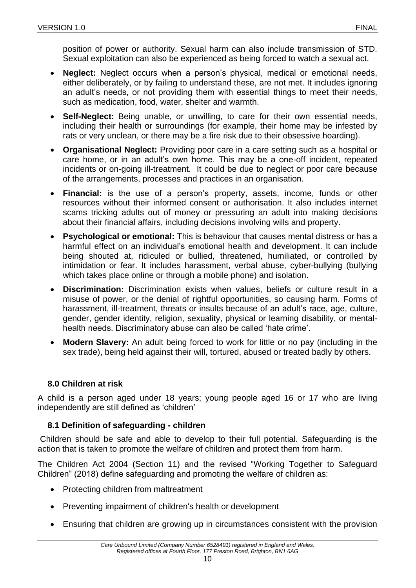position of power or authority. Sexual harm can also include transmission of STD. Sexual exploitation can also be experienced as being forced to watch a sexual act.

- **Neglect:** Neglect occurs when a person's physical, medical or emotional needs, either deliberately, or by failing to understand these, are not met. It includes ignoring an adult's needs, or not providing them with essential things to meet their needs, such as medication, food, water, shelter and warmth.
- **Self-Neglect:** Being unable, or unwilling, to care for their own essential needs, including their health or surroundings (for example, their home may be infested by rats or very unclean, or there may be a fire risk due to their obsessive hoarding).
- **Organisational Neglect:** Providing poor care in a care setting such as a hospital or care home, or in an adult's own home. This may be a one-off incident, repeated incidents or on-going ill-treatment. It could be due to neglect or poor care because of the arrangements, processes and practices in an organisation.
- **Financial:** is the use of a person's property, assets, income, funds or other resources without their informed consent or authorisation. It also includes internet scams tricking adults out of money or pressuring an adult into making decisions about their financial affairs, including decisions involving wills and property.
- **Psychological or emotional:** This is behaviour that causes mental distress or has a harmful effect on an individual's emotional health and development. It can include being shouted at, ridiculed or bullied, threatened, humiliated, or controlled by intimidation or fear. It includes harassment, verbal abuse, cyber-bullying (bullying which takes place online or through a mobile phone) and isolation.
- **Discrimination:** Discrimination exists when values, beliefs or culture result in a misuse of power, or the denial of rightful opportunities, so causing harm. Forms of harassment, ill-treatment, threats or insults because of an adult's race, age, culture, gender, gender identity, religion, sexuality, physical or learning disability, or mentalhealth needs. Discriminatory abuse can also be called 'hate crime'.
- **Modern Slavery:** An adult being forced to work for little or no pay (including in the sex trade), being held against their will, tortured, abused or treated badly by others.

## <span id="page-9-0"></span>**8.0 Children at risk**

A child is a person aged under 18 years; young people aged 16 or 17 who are living independently are still defined as 'children'

## <span id="page-9-1"></span>**8.1 Definition of safeguarding - children**

Children should be safe and able to develop to their full potential. Safeguarding is the action that is taken to promote the welfare of children and protect them from harm.

The Children Act 2004 (Section 11) and the revised "Working Together to Safeguard Children" (2018) define safeguarding and promoting the welfare of children as:

- Protecting children from maltreatment
- Preventing impairment of children's health or development
- Ensuring that children are growing up in circumstances consistent with the provision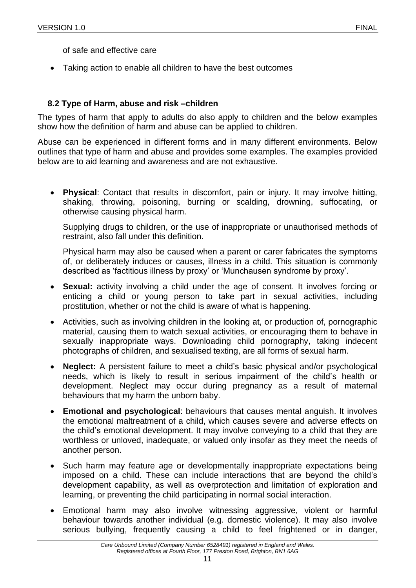of safe and effective care

• Taking action to enable all children to have the best outcomes

## <span id="page-10-0"></span>**8.2 Type of Harm, abuse and risk –children**

The types of harm that apply to adults do also apply to children and the below examples show how the definition of harm and abuse can be applied to children.

Abuse can be experienced in different forms and in many different environments. Below outlines that type of harm and abuse and provides some examples. The examples provided below are to aid learning and awareness and are not exhaustive.

• **Physical**: Contact that results in discomfort, pain or injury. It may involve hitting, shaking, throwing, poisoning, burning or scalding, drowning, suffocating, or otherwise causing physical harm.

Supplying drugs to children, or the use of inappropriate or unauthorised methods of restraint, also fall under this definition.

Physical harm may also be caused when a parent or carer fabricates the symptoms of, or deliberately induces or causes, illness in a child. This situation is commonly described as 'factitious illness by proxy' or 'Munchausen syndrome by proxy'.

- **Sexual:** activity involving a child under the age of consent. It involves forcing or enticing a child or young person to take part in sexual activities, including prostitution, whether or not the child is aware of what is happening.
- Activities, such as involving children in the looking at, or production of, pornographic material, causing them to watch sexual activities, or encouraging them to behave in sexually inappropriate ways. Downloading child pornography, taking indecent photographs of children, and sexualised texting, are all forms of sexual harm.
- **Neglect:** A persistent failure to meet a child's basic physical and/or psychological needs, which is likely to result in serious impairment of the child's health or development. Neglect may occur during pregnancy as a result of maternal behaviours that my harm the unborn baby.
- **Emotional and psychological**: behaviours that causes mental anguish. It involves the emotional maltreatment of a child, which causes severe and adverse effects on the child's emotional development. It may involve conveying to a child that they are worthless or unloved, inadequate, or valued only insofar as they meet the needs of another person.
- Such harm may feature age or developmentally inappropriate expectations being imposed on a child. These can include interactions that are beyond the child's development capability, as well as overprotection and limitation of exploration and learning, or preventing the child participating in normal social interaction.
- Emotional harm may also involve witnessing aggressive, violent or harmful behaviour towards another individual (e.g. domestic violence). It may also involve serious bullying, frequently causing a child to feel frightened or in danger,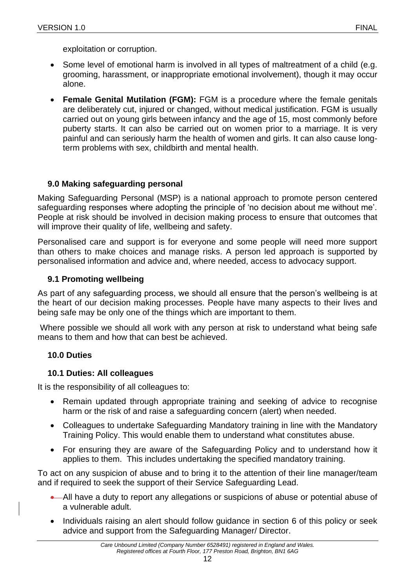exploitation or corruption.

- Some level of emotional harm is involved in all types of maltreatment of a child (e.g. grooming, harassment, or inappropriate emotional involvement), though it may occur alone.
- **Female Genital Mutilation (FGM):** FGM is a procedure where the female genitals are deliberately cut, injured or changed, without medical justification. FGM is usually carried out on young girls between infancy and the age of 15, most commonly before puberty starts. It can also be carried out on women prior to a marriage. It is very painful and can seriously harm the health of women and girls. It can also cause longterm problems with sex, childbirth and mental health.

## <span id="page-11-0"></span>**9.0 Making safeguarding personal**

Making Safeguarding Personal (MSP) is a national approach to promote person centered safeguarding responses where adopting the principle of 'no decision about me without me'. People at risk should be involved in decision making process to ensure that outcomes that will improve their quality of life, wellbeing and safety.

Personalised care and support is for everyone and some people will need more support than others to make choices and manage risks. A person led approach is supported by personalised information and advice and, where needed, access to advocacy support.

## <span id="page-11-1"></span>**9.1 Promoting wellbeing**

As part of any safeguarding process, we should all ensure that the person's wellbeing is at the heart of our decision making processes. People have many aspects to their lives and being safe may be only one of the things which are important to them.

Where possible we should all work with any person at risk to understand what being safe means to them and how that can best be achieved.

## <span id="page-11-2"></span>**10.0 Duties**

## <span id="page-11-3"></span>**10.1 Duties: All colleagues**

It is the responsibility of all colleagues to:

- Remain updated through appropriate training and seeking of advice to recognise harm or the risk of and raise a safeguarding concern (alert) when needed.
- Colleagues to undertake Safeguarding Mandatory training in line with the Mandatory Training Policy. This would enable them to understand what constitutes abuse.
- For ensuring they are aware of the Safeguarding Policy and to understand how it applies to them. This includes undertaking the specified mandatory training.

To act on any suspicion of abuse and to bring it to the attention of their line manager/team and if required to seek the support of their Service Safeguarding Lead.

- All have a duty to report any allegations or suspicions of abuse or potential abuse of a vulnerable adult.
- Individuals raising an alert should follow guidance in section 6 of this policy or seek advice and support from the Safeguarding Manager/ Director.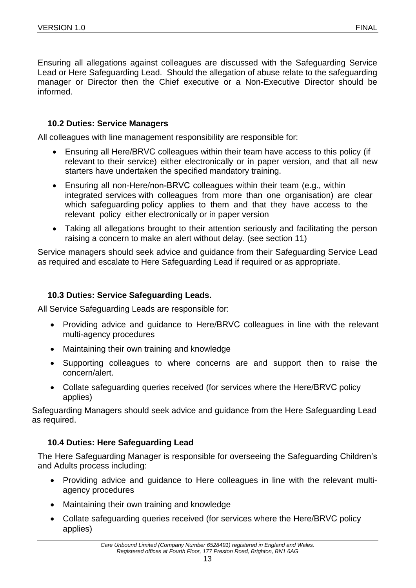Ensuring all allegations against colleagues are discussed with the Safeguarding Service Lead or Here Safeguarding Lead. Should the allegation of abuse relate to the safeguarding manager or Director then the Chief executive or a Non-Executive Director should be informed.

## <span id="page-12-0"></span>**10.2 Duties: Service Managers**

All colleagues with line management responsibility are responsible for:

- Ensuring all Here/BRVC colleagues within their team have access to this policy (if relevant to their service) either electronically or in paper version, and that all new starters have undertaken the specified mandatory training.
- Ensuring all non-Here/non-BRVC colleagues within their team (e.g., within integrated services with colleagues from more than one organisation) are clear which safeguarding policy applies to them and that they have access to the relevant policy either electronically or in paper version
- Taking all allegations brought to their attention seriously and facilitating the person raising a concern to make an alert without delay. (see section 11)

Service managers should seek advice and guidance from their Safeguarding Service Lead as required and escalate to Here Safeguarding Lead if required or as appropriate.

#### <span id="page-12-1"></span>**10.3 Duties: Service Safeguarding Leads.**

All Service Safeguarding Leads are responsible for:

- Providing advice and guidance to Here/BRVC colleagues in line with the relevant multi-agency procedures
- Maintaining their own training and knowledge
- Supporting colleagues to where concerns are and support then to raise the concern/alert.
- Collate safeguarding queries received (for services where the Here/BRVC policy applies)

Safeguarding Managers should seek advice and guidance from the Here Safeguarding Lead as required.

## <span id="page-12-2"></span>**10.4 Duties: Here Safeguarding Lead**

The Here Safeguarding Manager is responsible for overseeing the Safeguarding Children's and Adults process including:

- Providing advice and guidance to Here colleagues in line with the relevant multiagency procedures
- Maintaining their own training and knowledge
- Collate safeguarding queries received (for services where the Here/BRVC policy applies)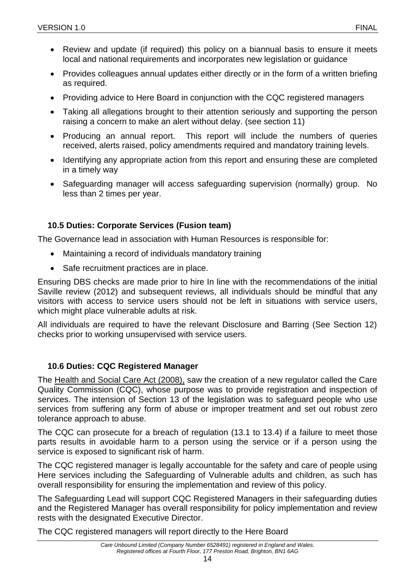- Review and update (if required) this policy on a biannual basis to ensure it meets local and national requirements and incorporates new legislation or guidance
- Provides colleagues annual updates either directly or in the form of a written briefing as required.
- Providing advice to Here Board in conjunction with the CQC registered managers
- Taking all allegations brought to their attention seriously and supporting the person raising a concern to make an alert without delay. (see section 11)
- Producing an annual report. This report will include the numbers of queries received, alerts raised, policy amendments required and mandatory training levels.
- Identifying any appropriate action from this report and ensuring these are completed in a timely way
- Safeguarding manager will access safeguarding supervision (normally) group. No less than 2 times per year.

## <span id="page-13-0"></span>**10.5 Duties: Corporate Services (Fusion team)**

The Governance lead in association with Human Resources is responsible for:

- Maintaining a record of individuals mandatory training
- Safe recruitment practices are in place.

Ensuring DBS checks are made prior to hire In line with the recommendations of the initial Saville review (2012) and subsequent reviews, all individuals should be mindful that any visitors with access to service users should not be left in situations with service users, which might place vulnerable adults at risk.

All individuals are required to have the relevant Disclosure and Barring (See Section 12) checks prior to working unsupervised with service users.

#### <span id="page-13-1"></span>**10.6 Duties: CQC Registered Manager**

The Health [and Social Care Act \(2008\),](https://www.legislation.gov.uk/ukpga/2008/14/contents) saw the creation of a new regulator called the Care Quality Commission (CQC), whose purpose was to provide registration and inspection of services. The intension of Section 13 of the legislation was to safeguard people who use services from suffering any form of abuse or improper treatment and set out robust zero tolerance approach to abuse.

The CQC can prosecute for a breach of regulation (13.1 to 13.4) if a failure to meet those parts results in avoidable harm to a person using the service or if a person using the service is exposed to significant risk of harm.

The CQC registered manager is legally accountable for the safety and care of people using Here services including the Safeguarding of Vulnerable adults and children, as such has overall responsibility for ensuring the implementation and review of this policy.

The Safeguarding Lead will support CQC Registered Managers in their safeguarding duties and the Registered Manager has overall responsibility for policy implementation and review rests with the designated Executive Director.

The CQC registered managers will report directly to the Here Board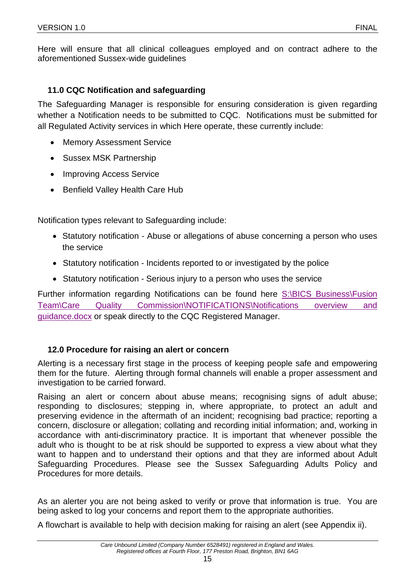Here will ensure that all clinical colleagues employed and on contract adhere to the aforementioned Sussex-wide guidelines

## <span id="page-14-0"></span>**11.0 CQC Notification and safeguarding**

The Safeguarding Manager is responsible for ensuring consideration is given regarding whether a Notification needs to be submitted to CQC. Notifications must be submitted for all Regulated Activity services in which Here operate, these currently include:

- Memory Assessment Service
- Sussex MSK Partnership
- Improving Access Service
- Benfield Valley Health Care Hub

Notification types relevant to Safeguarding include:

- Statutory notification Abuse or allegations of abuse concerning a person who uses the service
- Statutory notification Incidents reported to or investigated by the police
- Statutory notification Serious injury to a person who uses the service

Further information regarding Notifications can be found here [S:\BICS Business\Fusion](file://///nwxfs001.sussex.nhs.uk/nwx-usf$/BICS%20Business/Fusion%20Team/Care%20Quality%20Commission/NOTIFICATIONS/Notifications%20overview%20and%20guidance.docx)  [Team\Care Quality Commission\NOTIFICATIONS\Notifications overview and](file://///nwxfs001.sussex.nhs.uk/nwx-usf$/BICS%20Business/Fusion%20Team/Care%20Quality%20Commission/NOTIFICATIONS/Notifications%20overview%20and%20guidance.docx)  [guidance.docx](file://///nwxfs001.sussex.nhs.uk/nwx-usf$/BICS%20Business/Fusion%20Team/Care%20Quality%20Commission/NOTIFICATIONS/Notifications%20overview%20and%20guidance.docx) or speak directly to the CQC Registered Manager.

## <span id="page-14-1"></span>**12.0 Procedure for raising an alert or concern**

Alerting is a necessary first stage in the process of keeping people safe and empowering them for the future. Alerting through formal channels will enable a proper assessment and investigation to be carried forward.

Raising an alert or concern about abuse means; recognising signs of adult abuse; responding to disclosures; stepping in, where appropriate, to protect an adult and preserving evidence in the aftermath of an incident; recognising bad practice; reporting a concern, disclosure or allegation; collating and recording initial information; and, working in accordance with anti-discriminatory practice. It is important that whenever possible the adult who is thought to be at risk should be supported to express a view about what they want to happen and to understand their options and that they are informed about Adult Safeguarding Procedures. Please see the Sussex Safeguarding Adults Policy and Procedures for more details.

As an alerter you are not being asked to verify or prove that information is true. You are being asked to log your concerns and report them to the appropriate authorities.

A flowchart is available to help with decision making for raising an alert (see Appendix ii).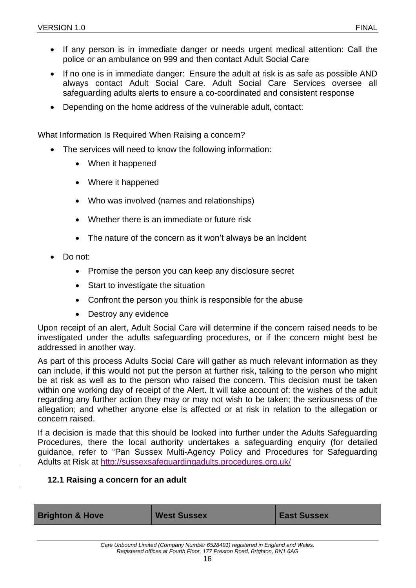- If any person is in immediate danger or needs urgent medical attention: Call the police or an ambulance on 999 and then contact Adult Social Care
- If no one is in immediate danger: Ensure the adult at risk is as safe as possible AND always contact Adult Social Care. Adult Social Care Services oversee all safeguarding adults alerts to ensure a co-coordinated and consistent response
- Depending on the home address of the vulnerable adult, contact:

What Information Is Required When Raising a concern?

- The services will need to know the following information:
	- When it happened
	- Where it happened
	- Who was involved (names and relationships)
	- Whether there is an immediate or future risk
	- The nature of the concern as it won't always be an incident
- Do not:
	- Promise the person you can keep any disclosure secret
	- Start to investigate the situation
	- Confront the person you think is responsible for the abuse
	- Destroy any evidence

Upon receipt of an alert, Adult Social Care will determine if the concern raised needs to be investigated under the adults safeguarding procedures, or if the concern might best be addressed in another way.

As part of this process Adults Social Care will gather as much relevant information as they can include, if this would not put the person at further risk, talking to the person who might be at risk as well as to the person who raised the concern. This decision must be taken within one working day of receipt of the Alert. It will take account of: the wishes of the adult regarding any further action they may or may not wish to be taken; the seriousness of the allegation; and whether anyone else is affected or at risk in relation to the allegation or concern raised.

If a decision is made that this should be looked into further under the Adults Safeguarding Procedures, there the local authority undertakes a safeguarding enquiry (for detailed guidance, refer to "Pan Sussex Multi-Agency Policy and Procedures for Safeguarding Adults at Risk at<http://sussexsafeguardingadults.procedures.org.uk/>

#### <span id="page-15-0"></span>**12.1 Raising a concern for an adult**

| <b>Brighton &amp; Hove</b> | <b>West Sussex</b> | <b>East Sussex</b> |
|----------------------------|--------------------|--------------------|
|                            |                    |                    |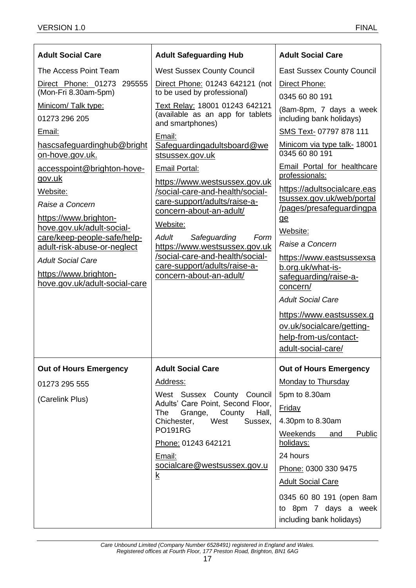| <b>Adult Social Care</b>                                 | <b>Adult Safeguarding Hub</b>                                                          | <b>Adult Social Care</b>                              |
|----------------------------------------------------------|----------------------------------------------------------------------------------------|-------------------------------------------------------|
| The Access Point Team                                    | <b>West Sussex County Council</b>                                                      | <b>East Sussex County Council</b>                     |
| Direct Phone: 01273 295555                               | Direct Phone: 01243 642121 (not                                                        | Direct Phone:                                         |
| (Mon-Fri 8.30am-5pm)                                     | to be used by professional)                                                            | 0345 60 80 191                                        |
| Minicom/ Talk type:<br>01273 296 205                     | Text Relay: 18001 01243 642121<br>(available as an app for tablets<br>and smartphones) | (8am-8pm, 7 days a week<br>including bank holidays)   |
| Email:                                                   | Email:                                                                                 | SMS Text- 07797 878 111                               |
| hascsafeguardinghub@bright<br>on-hove.gov.uk.            | Safeguardingadultsboard@we<br>stsussex.gov.uk                                          | Minicom via type talk- 18001<br>0345 60 80 191        |
| accesspoint@brighton-hove-<br>gov.uk                     | Email Portal:                                                                          | Email Portal for healthcare<br>professionals:         |
| Website:                                                 | https://www.westsussex.gov.uk<br>/social-care-and-health/social-                       | https://adultsocialcare.eas                           |
| Raise a Concern                                          | care-support/adults/raise-a-                                                           | tsussex.gov.uk/web/portal<br>/pages/presafeguardingpa |
| https://www.brighton-                                    | concern-about-an-adult/<br>Website:                                                    | ge                                                    |
| hove.gov.uk/adult-social-<br>care/keep-people-safe/help- | Safeguarding<br>Adult<br>Form                                                          | Website:                                              |
| adult-risk-abuse-or-neglect                              | https://www.westsussex.gov.uk                                                          | Raise a Concern                                       |
| <b>Adult Social Care</b>                                 | /social-care-and-health/social-<br>care-support/adults/raise-a-                        | https://www.eastsussexsa<br>b.org.uk/what-is-         |
| https://www.brighton-                                    | concern-about-an-adult/                                                                | safeguarding/raise-a-                                 |
| hove.gov.uk/adult-social-care                            |                                                                                        | concern/                                              |
|                                                          |                                                                                        | <b>Adult Social Care</b>                              |
|                                                          |                                                                                        | https://www.eastsussex.g                              |
|                                                          |                                                                                        | ov.uk/socialcare/getting-                             |
|                                                          |                                                                                        | help-from-us/contact-<br>adult-social-care/           |
|                                                          |                                                                                        |                                                       |
| <b>Out of Hours Emergency</b>                            | <b>Adult Social Care</b>                                                               | <b>Out of Hours Emergency</b>                         |
| 01273 295 555                                            | Address:                                                                               | <b>Monday to Thursday</b>                             |
| (Carelink Plus)                                          | West Sussex County Council<br>Adults' Care Point, Second Floor,                        | 5pm to 8.30am                                         |
|                                                          | The<br>Grange,<br>County<br>Hall,                                                      | Friday                                                |
|                                                          | Chichester,<br>West<br>Sussex,<br><b>PO191RG</b>                                       | 4.30pm to 8.30am<br>Weekends<br><b>Public</b><br>and  |
|                                                          | Phone: 01243 642121                                                                    | holidays:                                             |
|                                                          | Email:                                                                                 | 24 hours                                              |
|                                                          | socialcare@westsussex.gov.u<br>$\underline{k}$                                         | Phone: 0300 330 9475                                  |
|                                                          |                                                                                        | <b>Adult Social Care</b>                              |
|                                                          |                                                                                        | 0345 60 80 191 (open 8am                              |
|                                                          |                                                                                        | to 8pm 7 days a week                                  |
|                                                          |                                                                                        | including bank holidays)                              |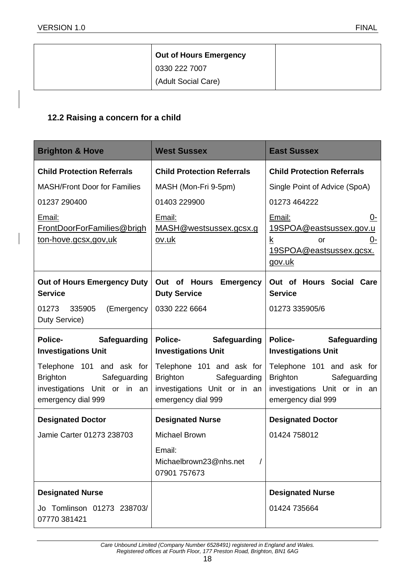| <b>Out of Hours Emergency</b> |
|-------------------------------|
| 0330 222 7007                 |
| (Adult Social Care)           |

## <span id="page-17-0"></span>**12.2 Raising a concern for a child**

| <b>Brighton &amp; Hove</b>                                                                                         | <b>West Sussex</b>                                                                                                 | <b>East Sussex</b>                                                                                                 |  |
|--------------------------------------------------------------------------------------------------------------------|--------------------------------------------------------------------------------------------------------------------|--------------------------------------------------------------------------------------------------------------------|--|
| <b>Child Protection Referrals</b>                                                                                  | <b>Child Protection Referrals</b>                                                                                  | <b>Child Protection Referrals</b>                                                                                  |  |
| <b>MASH/Front Door for Families</b>                                                                                | MASH (Mon-Fri 9-5pm)                                                                                               | Single Point of Advice (SpoA)                                                                                      |  |
| 01237 290400                                                                                                       | 01403 229900                                                                                                       | 01273 464222                                                                                                       |  |
| Email:<br>FrontDoorForFamilies@brigh<br>ton-hove.gcsx,gov,uk                                                       | Email:<br>MASH@westsussex.gcsx.g<br><u>ov.uk</u>                                                                   | Email:<br>0-<br>19SPOA@eastsussex.gov.u<br><u>k</u><br><u>0-</u><br>or<br><u>19SPOA@eastsussex.gcsx.</u><br>gov.uk |  |
| <b>Out of Hours Emergency Duty</b><br><b>Service</b>                                                               | Out of Hours<br><b>Emergency</b><br><b>Duty Service</b>                                                            | Out of Hours Social Care<br><b>Service</b>                                                                         |  |
| 01273 335905<br>(Emergency<br>Duty Service)                                                                        | 0330 222 6664                                                                                                      | 01273 335905/6                                                                                                     |  |
| <b>Police-</b>                                                                                                     | <b>Police-</b><br><b>Safeguarding</b>                                                                              | <b>Police-</b><br><b>Safeguarding</b>                                                                              |  |
| <b>Safeguarding</b><br><b>Investigations Unit</b>                                                                  | <b>Investigations Unit</b>                                                                                         | <b>Investigations Unit</b>                                                                                         |  |
| Telephone 101 and ask for<br><b>Brighton</b><br>Safeguarding<br>investigations Unit or in an<br>emergency dial 999 | Telephone 101 and ask for<br><b>Brighton</b><br>Safeguarding<br>investigations Unit or in an<br>emergency dial 999 | Telephone 101 and ask for<br>Brighton<br>Safeguarding<br>investigations Unit or in an<br>emergency dial 999        |  |
| <b>Designated Doctor</b>                                                                                           | <b>Designated Nurse</b>                                                                                            | <b>Designated Doctor</b>                                                                                           |  |
| Jamie Carter 01273 238703                                                                                          | Michael Brown                                                                                                      | 01424 758012                                                                                                       |  |
|                                                                                                                    | Email:<br>Michaelbrown23@nhs.net<br>07901 757673                                                                   |                                                                                                                    |  |
| <b>Designated Nurse</b>                                                                                            |                                                                                                                    | <b>Designated Nurse</b>                                                                                            |  |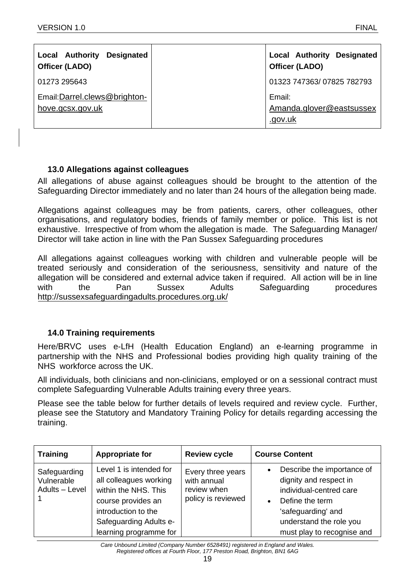| <b>Local Authority</b><br><b>Designated</b><br>Officer (LADO) | <b>Local Authority Designated</b><br>Officer (LADO) |
|---------------------------------------------------------------|-----------------------------------------------------|
| 01273 295643                                                  | 01323 747363/07825 782793                           |
| Email:Darrel.clews@brighton-<br>hove.gcsx.gov.uk              | Email:<br>Amanda.glover@eastsussex<br>.gov.uk       |

## <span id="page-18-0"></span>**13.0 Allegations against colleagues**

All allegations of abuse against colleagues should be brought to the attention of the Safeguarding Director immediately and no later than 24 hours of the allegation being made.

Allegations against colleagues may be from patients, carers, other colleagues, other organisations, and regulatory bodies, friends of family member or police. This list is not exhaustive. Irrespective of from whom the allegation is made. The Safeguarding Manager/ Director will take action in line with the Pan Sussex Safeguarding procedures

All allegations against colleagues working with children and vulnerable people will be treated seriously and consideration of the seriousness, sensitivity and nature of the allegation will be considered and external advice taken if required. All action will be in line with the Pan Sussex Adults Safeguarding procedures <http://sussexsafeguardingadults.procedures.org.uk/>

## <span id="page-18-1"></span>**14.0 Training requirements**

Here/BRVC uses e-LfH (Health Education England) an e-learning programme in partnership with the NHS and Professional bodies providing high quality training of the NHS workforce across the UK.

All individuals, both clinicians and non-clinicians, employed or on a sessional contract must complete Safeguarding Vulnerable Adults training every three years.

Please see the table below for further details of levels required and review cycle. Further, please see the Statutory and Mandatory Training Policy for details regarding accessing the training.

| <b>Training</b>                              | <b>Appropriate for</b>                                                                                                                                                     | <b>Review cycle</b>                                                   | <b>Course Content</b>                                                                                                                                                                                       |
|----------------------------------------------|----------------------------------------------------------------------------------------------------------------------------------------------------------------------------|-----------------------------------------------------------------------|-------------------------------------------------------------------------------------------------------------------------------------------------------------------------------------------------------------|
| Safeguarding<br>Vulnerable<br>Adults - Level | Level 1 is intended for<br>all colleagues working<br>within the NHS. This<br>course provides an<br>introduction to the<br>Safeguarding Adults e-<br>learning programme for | Every three years<br>with annual<br>review when<br>policy is reviewed | Describe the importance of<br>$\bullet$<br>dignity and respect in<br>individual-centred care<br>Define the term<br>$\bullet$<br>'safeguarding' and<br>understand the role you<br>must play to recognise and |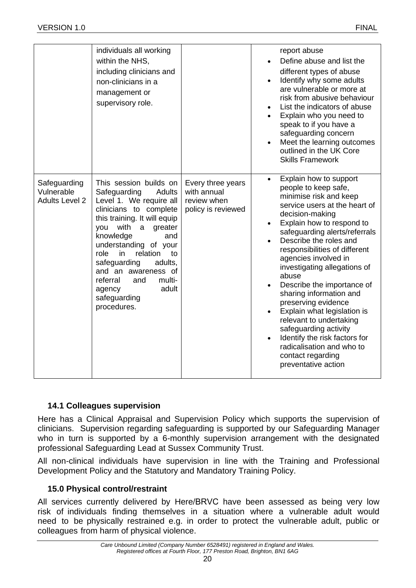|                                                     | individuals all working<br>within the NHS,<br>including clinicians and<br>non-clinicians in a<br>management or<br>supervisory role.                                                                                                                                                                                                                                                       |                                                                       | report abuse<br>Define abuse and list the<br>different types of abuse<br>Identify why some adults<br>$\bullet$<br>are vulnerable or more at<br>risk from abusive behaviour<br>List the indicators of abuse<br>Explain who you need to<br>speak to if you have a<br>safeguarding concern<br>Meet the learning outcomes<br>outlined in the UK Core<br><b>Skills Framework</b>                                                                                                                                                                                                                                                   |
|-----------------------------------------------------|-------------------------------------------------------------------------------------------------------------------------------------------------------------------------------------------------------------------------------------------------------------------------------------------------------------------------------------------------------------------------------------------|-----------------------------------------------------------------------|-------------------------------------------------------------------------------------------------------------------------------------------------------------------------------------------------------------------------------------------------------------------------------------------------------------------------------------------------------------------------------------------------------------------------------------------------------------------------------------------------------------------------------------------------------------------------------------------------------------------------------|
| Safeguarding<br>Vulnerable<br><b>Adults Level 2</b> | This session builds on<br>Safeguarding<br><b>Adults</b><br>Level 1. We require all<br>clinicians to complete<br>this training. It will equip<br>with<br>you<br>a<br>greater<br>knowledge<br>and<br>understanding of your<br>role<br>in<br>relation<br>to<br>safeguarding<br>adults,<br>and an awareness of<br>referral<br>and<br>multi-<br>adult<br>agency<br>safeguarding<br>procedures. | Every three years<br>with annual<br>review when<br>policy is reviewed | Explain how to support<br>$\bullet$<br>people to keep safe,<br>minimise risk and keep<br>service users at the heart of<br>decision-making<br>Explain how to respond to<br>$\bullet$<br>safeguarding alerts/referrals<br>Describe the roles and<br>responsibilities of different<br>agencies involved in<br>investigating allegations of<br>abuse<br>Describe the importance of<br>sharing information and<br>preserving evidence<br>Explain what legislation is<br>relevant to undertaking<br>safeguarding activity<br>Identify the risk factors for<br>radicalisation and who to<br>contact regarding<br>preventative action |

## <span id="page-19-0"></span>**14.1 Colleagues supervision**

Here has a Clinical Appraisal and Supervision Policy which supports the supervision of clinicians. Supervision regarding safeguarding is supported by our Safeguarding Manager who in turn is supported by a 6-monthly supervision arrangement with the designated professional Safeguarding Lead at Sussex Community Trust.

All non-clinical individuals have supervision in line with the Training and Professional Development Policy and the Statutory and Mandatory Training Policy.

## <span id="page-19-1"></span>**15.0 Physical control/restraint**

All services currently delivered by Here/BRVC have been assessed as being very low risk of individuals finding themselves in a situation where a vulnerable adult would need to be physically restrained e.g. in order to protect the vulnerable adult, public or colleagues from harm of physical violence.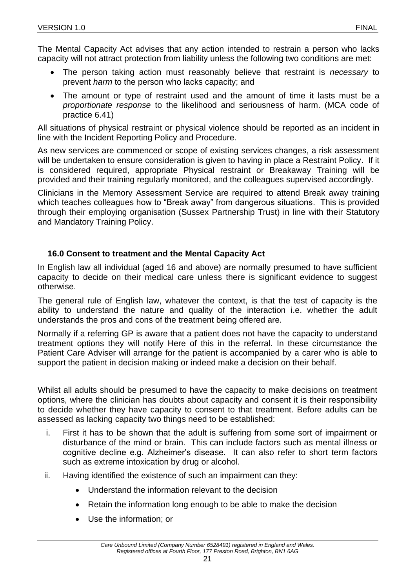The Mental Capacity Act advises that any action intended to restrain a person who lacks capacity will not attract protection from liability unless the following two conditions are met:

- The person taking action must reasonably believe that restraint is *necessary* to prevent *harm* to the person who lacks capacity; and
- The amount or type of restraint used and the amount of time it lasts must be a *proportionate response* to the likelihood and seriousness of harm. (MCA code of practice 6.41)

All situations of physical restraint or physical violence should be reported as an incident in line with the Incident Reporting Policy and Procedure.

As new services are commenced or scope of existing services changes, a risk assessment will be undertaken to ensure consideration is given to having in place a Restraint Policy. If it is considered required, appropriate Physical restraint or Breakaway Training will be provided and their training regularly monitored, and the colleagues supervised accordingly.

Clinicians in the Memory Assessment Service are required to attend Break away training which teaches colleagues how to "Break away" from dangerous situations. This is provided through their employing organisation (Sussex Partnership Trust) in line with their Statutory and Mandatory Training Policy.

## <span id="page-20-0"></span>**16.0 Consent to treatment and the Mental Capacity Act**

In English law all individual (aged 16 and above) are normally presumed to have sufficient capacity to decide on their medical care unless there is significant evidence to suggest otherwise.

The general rule of English law, whatever the context, is that the test of capacity is the ability to understand the nature and quality of the interaction i.e. whether the adult understands the pros and cons of the treatment being offered are.

Normally if a referring GP is aware that a patient does not have the capacity to understand treatment options they will notify Here of this in the referral. In these circumstance the Patient Care Adviser will arrange for the patient is accompanied by a carer who is able to support the patient in decision making or indeed make a decision on their behalf.

Whilst all adults should be presumed to have the capacity to make decisions on treatment options, where the clinician has doubts about capacity and consent it is their responsibility to decide whether they have capacity to consent to that treatment. Before adults can be assessed as lacking capacity two things need to be established:

- i. First it has to be shown that the adult is suffering from some sort of impairment or disturbance of the mind or brain. This can include factors such as mental illness or cognitive decline e.g. Alzheimer's disease. It can also refer to short term factors such as extreme intoxication by drug or alcohol.
- ii. Having identified the existence of such an impairment can they:
	- Understand the information relevant to the decision
	- Retain the information long enough to be able to make the decision
	- Use the information; or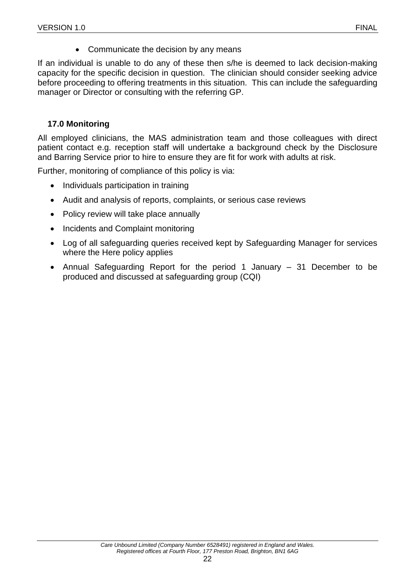• Communicate the decision by any means

If an individual is unable to do any of these then s/he is deemed to lack decision-making capacity for the specific decision in question. The clinician should consider seeking advice before proceeding to offering treatments in this situation. This can include the safeguarding manager or Director or consulting with the referring GP.

## <span id="page-21-0"></span>**17.0 Monitoring**

All employed clinicians, the MAS administration team and those colleagues with direct patient contact e.g. reception staff will undertake a background check by the Disclosure and Barring Service prior to hire to ensure they are fit for work with adults at risk.

Further, monitoring of compliance of this policy is via:

- Individuals participation in training
- Audit and analysis of reports, complaints, or serious case reviews
- Policy review will take place annually
- Incidents and Complaint monitoring
- Log of all safeguarding queries received kept by Safeguarding Manager for services where the Here policy applies
- Annual Safeguarding Report for the period 1 January 31 December to be produced and discussed at safeguarding group (CQI)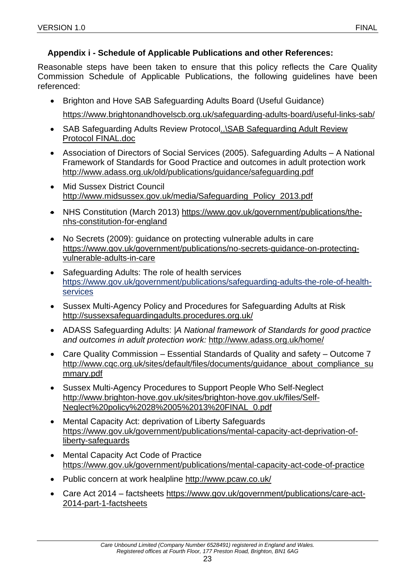## <span id="page-22-0"></span>**Appendix i - Schedule of Applicable Publications and other References:**

Reasonable steps have been taken to ensure that this policy reflects the Care Quality Commission Schedule of Applicable Publications, the following guidelines have been referenced:

- Brighton and Hove SAB Safeguarding Adults Board (Useful Guidance) <https://www.brightonandhovelscb.org.uk/safeguarding-adults-board/useful-links-sab/>
- SAB Safeguarding Adults Review Protocol. \SAB Safeguarding Adult Review [Protocol FINAL.doc](../../Balfec/AppData/Local/Microsoft/Windows/Temporary%20Internet%20Files/Content.Outlook/SAB%20Safeguarding%20Adult%20Review%20Protocol%20FINAL.doc)
- Association of Directors of Social Services (2005). Safeguarding Adults A National Framework of Standards for Good Practice and outcomes in adult protection work <http://www.adass.org.uk/old/publications/guidance/safeguarding.pdf>
- **Mid Sussex District Council** [http://www.midsussex.gov.uk/media/Safeguarding\\_Policy\\_2013.pdf](http://www.midsussex.gov.uk/media/Safeguarding_Policy_2013.pdf)
- NHS Constitution (March 2013) [https://www.gov.uk/government/publications/the](https://www.gov.uk/government/publications/the-nhs-constitution-for-england)[nhs-constitution-for-england](https://www.gov.uk/government/publications/the-nhs-constitution-for-england)
- No Secrets (2009): guidance on protecting vulnerable adults in care [https://www.gov.uk/government/publications/no-secrets-guidance-on-protecting](https://www.gov.uk/government/publications/no-secrets-guidance-on-protecting-vulnerable-adults-in-care)[vulnerable-adults-in-care](https://www.gov.uk/government/publications/no-secrets-guidance-on-protecting-vulnerable-adults-in-care)
- Safeguarding Adults: The role of health services [https://www.gov.uk/government/publications/safeguarding-adults-the-role-of-health](https://www.gov.uk/government/publications/safeguarding-adults-the-role-of-health-services)[services](https://www.gov.uk/government/publications/safeguarding-adults-the-role-of-health-services)
- Sussex Multi-Agency Policy and Procedures for Safeguarding Adults at Risk <http://sussexsafeguardingadults.procedures.org.uk/>
- ADASS Safeguarding Adults: *|A National framework of Standards for good practice and outcomes in adult protection work:* <http://www.adass.org.uk/home/>
- Care Quality Commission Essential Standards of Quality and safety Outcome 7 [http://www.cqc.org.uk/sites/default/files/documents/guidance\\_about\\_compliance\\_su](http://www.cqc.org.uk/sites/default/files/documents/guidance_about_compliance_summary.pdf) [mmary.pdf](http://www.cqc.org.uk/sites/default/files/documents/guidance_about_compliance_summary.pdf)
- Sussex Multi-Agency Procedures to Support People Who Self-Neglect [http://www.brighton-hove.gov.uk/sites/brighton-hove.gov.uk/files/Self-](http://www.brighton-hove.gov.uk/sites/brighton-hove.gov.uk/files/Self-Neglect%20policy%2028%2005%2013%20FINAL_0.pdf)[Neglect%20policy%2028%2005%2013%20FINAL\\_0.pdf](http://www.brighton-hove.gov.uk/sites/brighton-hove.gov.uk/files/Self-Neglect%20policy%2028%2005%2013%20FINAL_0.pdf)
- Mental Capacity Act: deprivation of Liberty Safeguards [https://www.gov.uk/government/publications/mental-capacity-act-deprivation-of](https://www.gov.uk/government/publications/mental-capacity-act-deprivation-of-liberty-safeguards)[liberty-safeguards](https://www.gov.uk/government/publications/mental-capacity-act-deprivation-of-liberty-safeguards)
- Mental Capacity Act Code of Practice <https://www.gov.uk/government/publications/mental-capacity-act-code-of-practice>
- Public concern at work healpline<http://www.pcaw.co.uk/>
- Care Act 2014 factsheets [https://www.gov.uk/government/publications/care-act-](https://www.gov.uk/government/publications/care-act-2014-part-1-factsheets)[2014-part-1-factsheets](https://www.gov.uk/government/publications/care-act-2014-part-1-factsheets)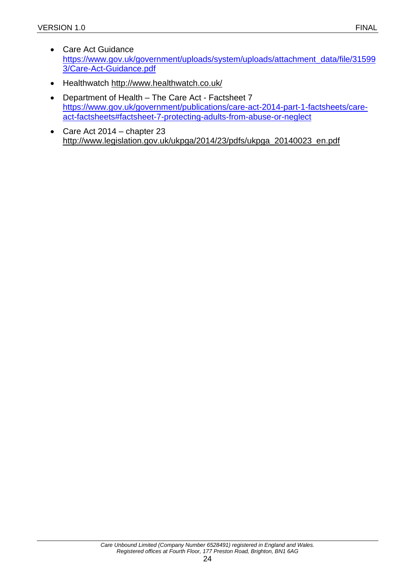- Care Act Guidance [https://www.gov.uk/government/uploads/system/uploads/attachment\\_data/file/31599](https://www.gov.uk/government/uploads/system/uploads/attachment_data/file/315993/Care-Act-Guidance.pdf) [3/Care-Act-Guidance.pdf](https://www.gov.uk/government/uploads/system/uploads/attachment_data/file/315993/Care-Act-Guidance.pdf)
- Healthwatch<http://www.healthwatch.co.uk/>
- Department of Health The Care Act Factsheet 7 [https://www.gov.uk/government/publications/care-act-2014-part-1-factsheets/care](https://www.gov.uk/government/publications/care-act-2014-part-1-factsheets/care-act-factsheets#factsheet-7-protecting-adults-from-abuse-or-neglect)[act-factsheets#factsheet-7-protecting-adults-from-abuse-or-neglect](https://www.gov.uk/government/publications/care-act-2014-part-1-factsheets/care-act-factsheets#factsheet-7-protecting-adults-from-abuse-or-neglect)
- Care Act 2014 chapter 23 [http://www.legislation.gov.uk/ukpga/2014/23/pdfs/ukpga\\_20140023\\_en.pdf](http://www.legislation.gov.uk/ukpga/2014/23/pdfs/ukpga_20140023_en.pdf)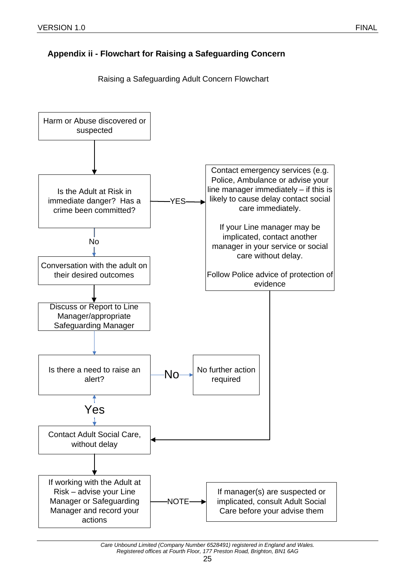# <span id="page-24-0"></span>**Appendix ii - Flowchart for Raising a Safeguarding Concern**



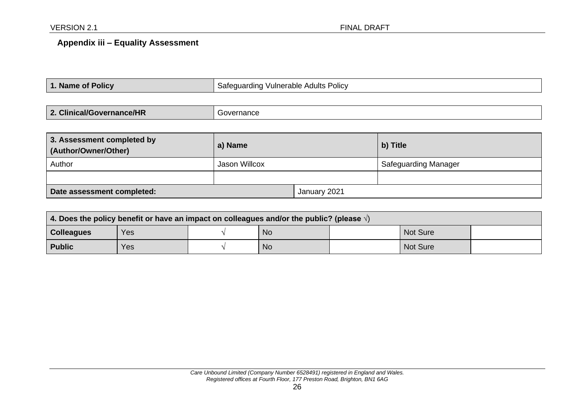## **Appendix iii – Equality Assessment**

| 1. Name of Policy | Safeguarding Vulnerable Adults Policy |
|-------------------|---------------------------------------|
|                   |                                       |

| 2. Clinical/Governance/HR | iovernance |
|---------------------------|------------|
|---------------------------|------------|

| 3. Assessment completed by<br>(Author/Owner/Other) | a) Name       |              | b) Title                    |
|----------------------------------------------------|---------------|--------------|-----------------------------|
| Author                                             | Jason Willcox |              | <b>Safeguarding Manager</b> |
|                                                    |               |              |                             |
| Date assessment completed:                         |               | January 2021 |                             |

<span id="page-25-0"></span>

| 4. Does the policy benefit or have an impact on colleagues and/or the public? (please $\sqrt{ }$ ) |     |  |           |  |                 |  |
|----------------------------------------------------------------------------------------------------|-----|--|-----------|--|-----------------|--|
| <b>Colleagues</b>                                                                                  | Yes |  | <b>No</b> |  | <b>Not Sure</b> |  |
| <b>Public</b>                                                                                      | Yes |  | <b>No</b> |  | Not Sure        |  |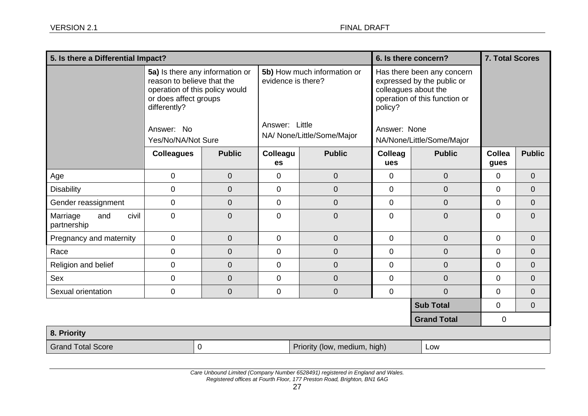| 5. Is there a Differential Impact?      |                                                                                                                                                        |                |                                                                     |                | 6. Is there concern?                                                                                                                         |                    | <b>7. Total Scores</b> |                |
|-----------------------------------------|--------------------------------------------------------------------------------------------------------------------------------------------------------|----------------|---------------------------------------------------------------------|----------------|----------------------------------------------------------------------------------------------------------------------------------------------|--------------------|------------------------|----------------|
|                                         | 5a) Is there any information or<br>reason to believe that the<br>operation of this policy would<br>or does affect groups<br>differently?<br>Answer: No |                | 5b) How much information or<br>evidence is there?<br>Answer: Little |                | Has there been any concern<br>expressed by the public or<br>colleagues about the<br>operation of this function or<br>policy?<br>Answer: None |                    |                        |                |
|                                         | Yes/No/NA/Not Sure                                                                                                                                     |                | NA/ None/Little/Some/Major                                          |                | NA/None/Little/Some/Major                                                                                                                    |                    |                        |                |
|                                         | <b>Colleagues</b>                                                                                                                                      | <b>Public</b>  | Colleagu<br>es                                                      | <b>Public</b>  | Colleag<br>ues                                                                                                                               | <b>Public</b>      | <b>Collea</b><br>gues  | <b>Public</b>  |
| Age                                     | $\mathbf 0$                                                                                                                                            | $\mathbf 0$    | $\mathbf 0$                                                         | $\overline{0}$ | $\overline{0}$                                                                                                                               | $\mathbf 0$        | $\overline{0}$         | $\overline{0}$ |
| <b>Disability</b>                       | $\mathbf 0$                                                                                                                                            | $\mathbf 0$    | 0                                                                   | $\overline{0}$ | $\overline{0}$                                                                                                                               | $\overline{0}$     | $\overline{0}$         | $\mathbf{0}$   |
| Gender reassignment                     | $\mathbf 0$                                                                                                                                            | 0              | $\mathbf 0$                                                         | 0              | $\mathbf 0$                                                                                                                                  | $\boldsymbol{0}$   | 0                      | $\overline{0}$ |
| civil<br>Marriage<br>and<br>partnership | $\mathbf 0$                                                                                                                                            | 0              | 0                                                                   | 0              | $\overline{0}$                                                                                                                               | 0                  | 0                      | $\overline{0}$ |
| Pregnancy and maternity                 | $\mathbf 0$                                                                                                                                            | $\mathbf 0$    | 0                                                                   | $\overline{0}$ | $\overline{0}$                                                                                                                               | $\overline{0}$     | $\mathbf 0$            | $\mathbf{0}$   |
| Race                                    | $\mathbf 0$                                                                                                                                            | $\mathbf 0$    | $\mathbf 0$                                                         | 0              | $\mathbf 0$                                                                                                                                  | $\overline{0}$     | 0                      | $\mathbf{0}$   |
| Religion and belief                     | $\mathbf 0$                                                                                                                                            | 0              | $\mathbf 0$                                                         | 0              | $\overline{0}$                                                                                                                               | 0                  | $\overline{0}$         | $\mathbf{0}$   |
| Sex                                     | $\mathbf 0$                                                                                                                                            | $\overline{0}$ | 0                                                                   | $\overline{0}$ | $\overline{0}$                                                                                                                               | $\mathbf 0$        | 0                      | $\mathbf{0}$   |
| Sexual orientation                      | $\mathbf 0$                                                                                                                                            | $\mathbf 0$    | $\mathbf 0$                                                         | $\mathbf 0$    | $\mathbf 0$                                                                                                                                  | $\mathbf 0$        | 0                      | $\overline{0}$ |
|                                         |                                                                                                                                                        |                |                                                                     |                |                                                                                                                                              | <b>Sub Total</b>   | $\mathbf 0$            | $\mathbf 0$    |
|                                         |                                                                                                                                                        |                |                                                                     |                |                                                                                                                                              | <b>Grand Total</b> | 0                      |                |
| 8. Priority                             |                                                                                                                                                        |                |                                                                     |                |                                                                                                                                              |                    |                        |                |
| <b>Grand Total Score</b><br>0           |                                                                                                                                                        |                | Priority (low, medium, high)                                        |                |                                                                                                                                              | Low                |                        |                |